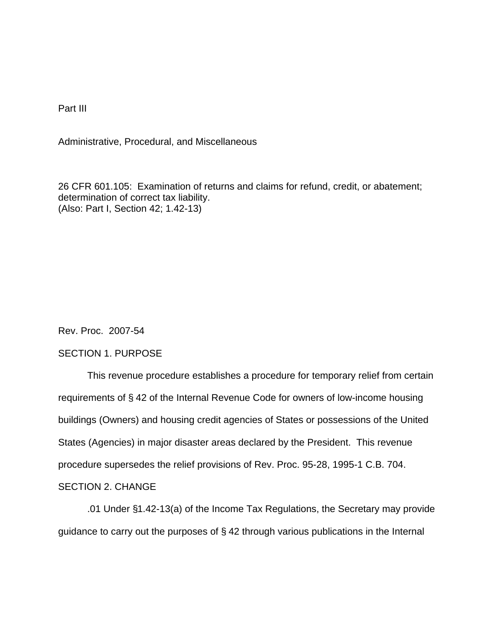Part III

Administrative, Procedural, and Miscellaneous

26 CFR 601.105: Examination of returns and claims for refund, credit, or abatement; determination of correct tax liability. (Also: Part I, Section 42; 1.42-13)

Rev. Proc. 2007-54

### SECTION 1. PURPOSE

This revenue procedure establishes a procedure for temporary relief from certain requirements of § 42 of the Internal Revenue Code for owners of low-income housing buildings (Owners) and housing credit agencies of States or possessions of the United States (Agencies) in major disaster areas declared by the President. This revenue procedure supersedes the relief provisions of Rev. Proc. 95-28, 1995-1 C.B. 704.

# SECTION 2. CHANGE

.01 Under §1.42-13(a) of the Income Tax Regulations, the Secretary may provide guidance to carry out the purposes of § 42 through various publications in the Internal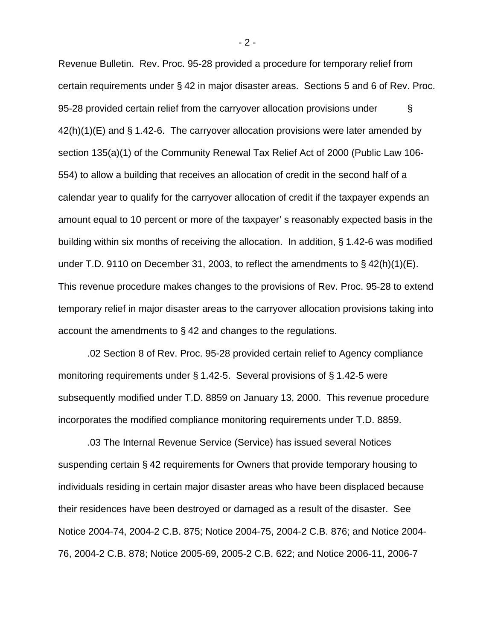Revenue Bulletin. Rev. Proc. 95-28 provided a procedure for temporary relief from certain requirements under § 42 in major disaster areas. Sections 5 and 6 of Rev. Proc. 95-28 provided certain relief from the carryover allocation provisions under § 42(h)(1)(E) and § 1.42-6. The carryover allocation provisions were later amended by section 135(a)(1) of the Community Renewal Tax Relief Act of 2000 (Public Law 106- 554) to allow a building that receives an allocation of credit in the second half of a calendar year to qualify for the carryover allocation of credit if the taxpayer expends an amount equal to 10 percent or more of the taxpayer' s reasonably expected basis in the building within six months of receiving the allocation. In addition, § 1.42-6 was modified under T.D. 9110 on December 31, 2003, to reflect the amendments to § 42(h)(1)(E). This revenue procedure makes changes to the provisions of Rev. Proc. 95-28 to extend temporary relief in major disaster areas to the carryover allocation provisions taking into account the amendments to § 42 and changes to the regulations.

.02 Section 8 of Rev. Proc. 95-28 provided certain relief to Agency compliance monitoring requirements under § 1.42-5. Several provisions of § 1.42-5 were subsequently modified under T.D. 8859 on January 13, 2000. This revenue procedure incorporates the modified compliance monitoring requirements under T.D. 8859.

.03 The Internal Revenue Service (Service) has issued several Notices suspending certain § 42 requirements for Owners that provide temporary housing to individuals residing in certain major disaster areas who have been displaced because their residences have been destroyed or damaged as a result of the disaster. See Notice 2004-74, 2004-2 C.B. 875; Notice 2004-75, 2004-2 C.B. 876; and Notice 2004- 76, 2004-2 C.B. 878; Notice 2005-69, 2005-2 C.B. 622; and Notice 2006-11, 2006-7

- 2 -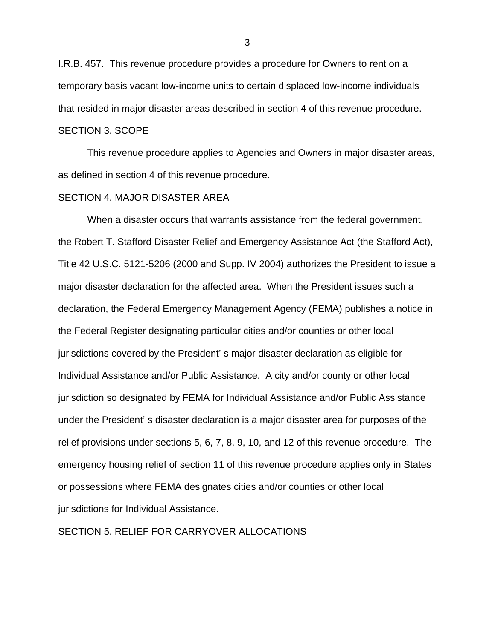I.R.B. 457. This revenue procedure provides a procedure for Owners to rent on a temporary basis vacant low-income units to certain displaced low-income individuals that resided in major disaster areas described in section 4 of this revenue procedure. SECTION 3. SCOPE

This revenue procedure applies to Agencies and Owners in major disaster areas, as defined in section 4 of this revenue procedure.

### SECTION 4. MAJOR DISASTER AREA

When a disaster occurs that warrants assistance from the federal government, the Robert T. Stafford Disaster Relief and Emergency Assistance Act (the Stafford Act), Title 42 U.S.C. 5121-5206 (2000 and Supp. IV 2004) authorizes the President to issue a major disaster declaration for the affected area. When the President issues such a declaration, the Federal Emergency Management Agency (FEMA) publishes a notice in the Federal Register designating particular cities and/or counties or other local jurisdictions covered by the President' s major disaster declaration as eligible for Individual Assistance and/or Public Assistance. A city and/or county or other local jurisdiction so designated by FEMA for Individual Assistance and/or Public Assistance under the President' s disaster declaration is a major disaster area for purposes of the relief provisions under sections 5, 6, 7, 8, 9, 10, and 12 of this revenue procedure. The emergency housing relief of section 11 of this revenue procedure applies only in States or possessions where FEMA designates cities and/or counties or other local jurisdictions for Individual Assistance.

# SECTION 5. RELIEF FOR CARRYOVER ALLOCATIONS

- 3 -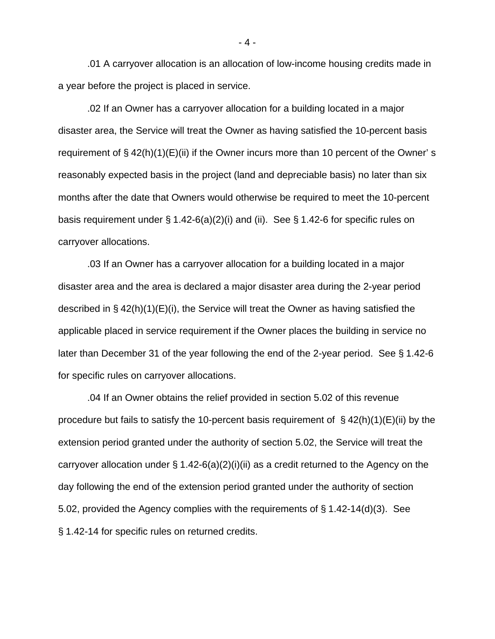.01 A carryover allocation is an allocation of low-income housing credits made in a year before the project is placed in service.

.02 If an Owner has a carryover allocation for a building located in a major disaster area, the Service will treat the Owner as having satisfied the 10-percent basis requirement of  $\S$  42(h)(1)(E)(ii) if the Owner incurs more than 10 percent of the Owner' s reasonably expected basis in the project (land and depreciable basis) no later than six months after the date that Owners would otherwise be required to meet the 10-percent basis requirement under  $\S 1.42-6(a)(2)(i)$  and (ii). See  $\S 1.42-6$  for specific rules on carryover allocations.

.03 If an Owner has a carryover allocation for a building located in a major disaster area and the area is declared a major disaster area during the 2-year period described in  $\S$  42(h)(1)(E)(i), the Service will treat the Owner as having satisfied the applicable placed in service requirement if the Owner places the building in service no later than December 31 of the year following the end of the 2-year period. See § 1.42-6 for specific rules on carryover allocations.

.04 If an Owner obtains the relief provided in section 5.02 of this revenue procedure but fails to satisfy the 10-percent basis requirement of  $\S$  42(h)(1)(E)(ii) by the extension period granted under the authority of section 5.02, the Service will treat the carryover allocation under  $\S 1.42-6(a)(2)(i)(ii)$  as a credit returned to the Agency on the day following the end of the extension period granted under the authority of section 5.02, provided the Agency complies with the requirements of § 1.42-14(d)(3). See § 1.42-14 for specific rules on returned credits.

- 4 -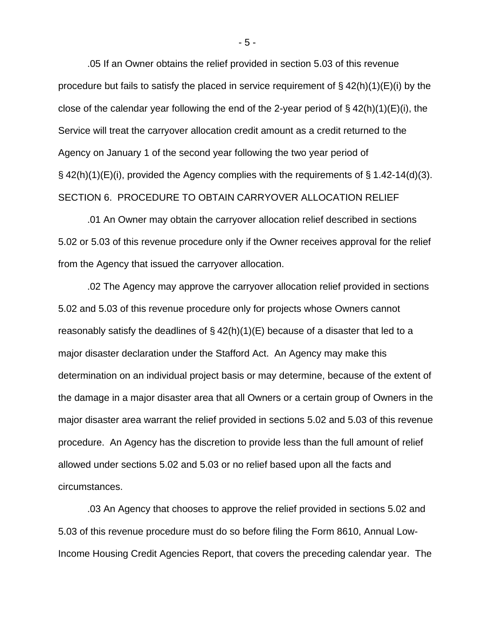.05 If an Owner obtains the relief provided in section 5.03 of this revenue procedure but fails to satisfy the placed in service requirement of  $\S$  42(h)(1)(E)(i) by the close of the calendar year following the end of the 2-year period of  $\S$  42(h)(1)(E)(i), the Service will treat the carryover allocation credit amount as a credit returned to the Agency on January 1 of the second year following the two year period of  $\S$  42(h)(1)(E)(i), provided the Agency complies with the requirements of  $\S$  1.42-14(d)(3). SECTION 6. PROCEDURE TO OBTAIN CARRYOVER ALLOCATION RELIEF

.01 An Owner may obtain the carryover allocation relief described in sections 5.02 or 5.03 of this revenue procedure only if the Owner receives approval for the relief from the Agency that issued the carryover allocation.

.02 The Agency may approve the carryover allocation relief provided in sections 5.02 and 5.03 of this revenue procedure only for projects whose Owners cannot reasonably satisfy the deadlines of  $\S$  42(h)(1)(E) because of a disaster that led to a major disaster declaration under the Stafford Act. An Agency may make this determination on an individual project basis or may determine, because of the extent of the damage in a major disaster area that all Owners or a certain group of Owners in the major disaster area warrant the relief provided in sections 5.02 and 5.03 of this revenue procedure. An Agency has the discretion to provide less than the full amount of relief allowed under sections 5.02 and 5.03 or no relief based upon all the facts and circumstances.

 .03 An Agency that chooses to approve the relief provided in sections 5.02 and 5.03 of this revenue procedure must do so before filing the Form 8610, Annual Low-Income Housing Credit Agencies Report, that covers the preceding calendar year. The

- 5 -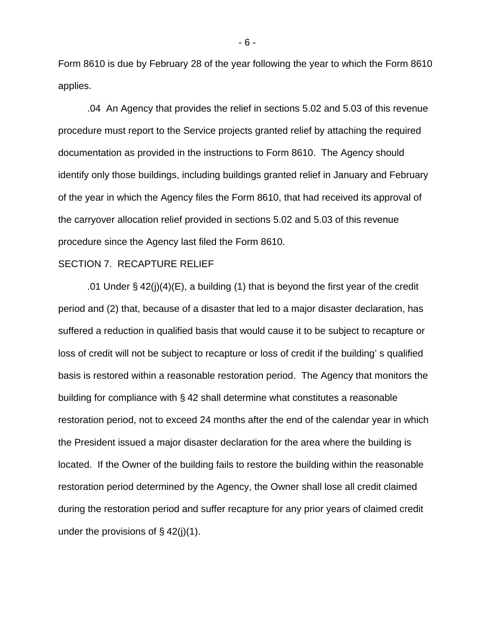Form 8610 is due by February 28 of the year following the year to which the Form 8610 applies.

.04 An Agency that provides the relief in sections 5.02 and 5.03 of this revenue procedure must report to the Service projects granted relief by attaching the required documentation as provided in the instructions to Form 8610. The Agency should identify only those buildings, including buildings granted relief in January and February of the year in which the Agency files the Form 8610, that had received its approval of the carryover allocation relief provided in sections 5.02 and 5.03 of this revenue procedure since the Agency last filed the Form 8610.

#### SECTION 7. RECAPTURE RELIEF

.01 Under § 42(j)(4)(E), a building (1) that is beyond the first year of the credit period and (2) that, because of a disaster that led to a major disaster declaration, has suffered a reduction in qualified basis that would cause it to be subject to recapture or loss of credit will not be subject to recapture or loss of credit if the building' s qualified basis is restored within a reasonable restoration period. The Agency that monitors the building for compliance with § 42 shall determine what constitutes a reasonable restoration period, not to exceed 24 months after the end of the calendar year in which the President issued a major disaster declaration for the area where the building is located. If the Owner of the building fails to restore the building within the reasonable restoration period determined by the Agency, the Owner shall lose all credit claimed during the restoration period and suffer recapture for any prior years of claimed credit under the provisions of  $\S$  42(j)(1).

- 6 -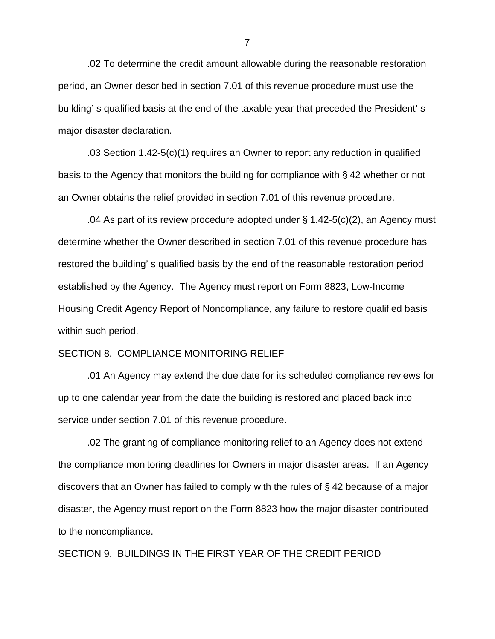.02 To determine the credit amount allowable during the reasonable restoration period, an Owner described in section 7.01 of this revenue procedure must use the building' s qualified basis at the end of the taxable year that preceded the President' s major disaster declaration.

.03 Section 1.42-5(c)(1) requires an Owner to report any reduction in qualified basis to the Agency that monitors the building for compliance with § 42 whether or not an Owner obtains the relief provided in section 7.01 of this revenue procedure.

.04 As part of its review procedure adopted under § 1.42-5(c)(2), an Agency must determine whether the Owner described in section 7.01 of this revenue procedure has restored the building' s qualified basis by the end of the reasonable restoration period established by the Agency. The Agency must report on Form 8823, Low-Income Housing Credit Agency Report of Noncompliance, any failure to restore qualified basis within such period.

# SECTION 8. COMPLIANCE MONITORING RELIEF

.01 An Agency may extend the due date for its scheduled compliance reviews for up to one calendar year from the date the building is restored and placed back into service under section 7.01 of this revenue procedure.

.02 The granting of compliance monitoring relief to an Agency does not extend the compliance monitoring deadlines for Owners in major disaster areas. If an Agency discovers that an Owner has failed to comply with the rules of § 42 because of a major disaster, the Agency must report on the Form 8823 how the major disaster contributed to the noncompliance.

SECTION 9. BUILDINGS IN THE FIRST YEAR OF THE CREDIT PERIOD

- 7 -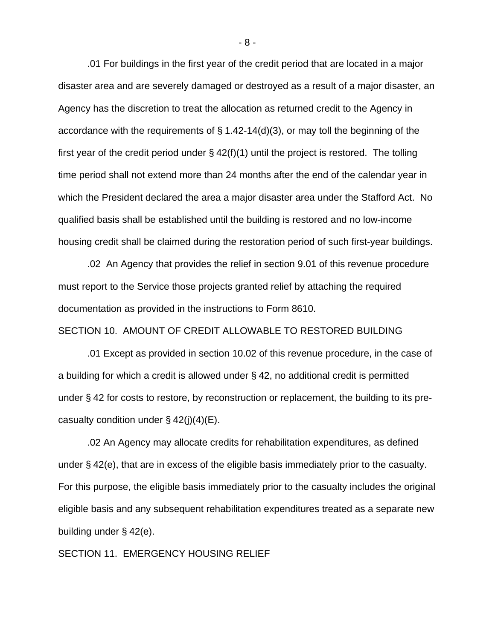.01 For buildings in the first year of the credit period that are located in a major disaster area and are severely damaged or destroyed as a result of a major disaster, an Agency has the discretion to treat the allocation as returned credit to the Agency in accordance with the requirements of § 1.42-14(d)(3), or may toll the beginning of the first year of the credit period under  $\S$  42(f)(1) until the project is restored. The tolling time period shall not extend more than 24 months after the end of the calendar year in which the President declared the area a major disaster area under the Stafford Act. No qualified basis shall be established until the building is restored and no low-income housing credit shall be claimed during the restoration period of such first-year buildings.

.02 An Agency that provides the relief in section 9.01 of this revenue procedure must report to the Service those projects granted relief by attaching the required documentation as provided in the instructions to Form 8610.

SECTION 10. AMOUNT OF CREDIT ALLOWABLE TO RESTORED BUILDING

.01 Except as provided in section 10.02 of this revenue procedure, in the case of a building for which a credit is allowed under § 42, no additional credit is permitted under § 42 for costs to restore, by reconstruction or replacement, the building to its precasualty condition under  $\S$  42(j)(4)(E).

.02 An Agency may allocate credits for rehabilitation expenditures, as defined under § 42(e), that are in excess of the eligible basis immediately prior to the casualty. For this purpose, the eligible basis immediately prior to the casualty includes the original eligible basis and any subsequent rehabilitation expenditures treated as a separate new building under § 42(e).

SECTION 11. EMERGENCY HOUSING RELIEF

- 8 -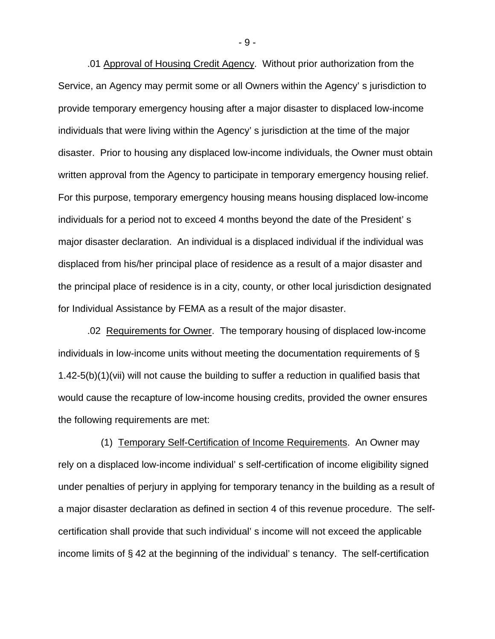.01 Approval of Housing Credit Agency. Without prior authorization from the Service, an Agency may permit some or all Owners within the Agency' s jurisdiction to provide temporary emergency housing after a major disaster to displaced low-income individuals that were living within the Agency' s jurisdiction at the time of the major disaster. Prior to housing any displaced low-income individuals, the Owner must obtain written approval from the Agency to participate in temporary emergency housing relief. For this purpose, temporary emergency housing means housing displaced low-income individuals for a period not to exceed 4 months beyond the date of the President' s major disaster declaration. An individual is a displaced individual if the individual was displaced from his/her principal place of residence as a result of a major disaster and the principal place of residence is in a city, county, or other local jurisdiction designated for Individual Assistance by FEMA as a result of the major disaster.

.02 Requirements for Owner. The temporary housing of displaced low-income individuals in low-income units without meeting the documentation requirements of § 1.42-5(b)(1)(vii) will not cause the building to suffer a reduction in qualified basis that would cause the recapture of low-income housing credits, provided the owner ensures the following requirements are met:

 (1) Temporary Self-Certification of Income Requirements. An Owner may rely on a displaced low-income individual' s self-certification of income eligibility signed under penalties of perjury in applying for temporary tenancy in the building as a result of a major disaster declaration as defined in section 4 of this revenue procedure. The selfcertification shall provide that such individual' s income will not exceed the applicable income limits of § 42 at the beginning of the individual' s tenancy. The self-certification

- 9 -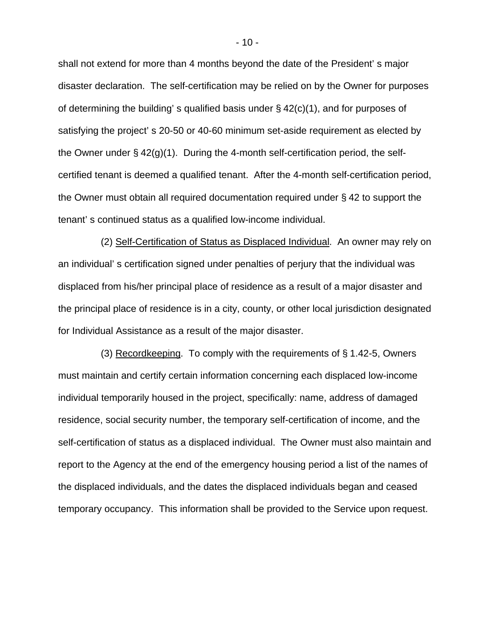shall not extend for more than 4 months beyond the date of the President' s major disaster declaration. The self-certification may be relied on by the Owner for purposes of determining the building's qualified basis under  $\S$  42(c)(1), and for purposes of satisfying the project' s 20-50 or 40-60 minimum set-aside requirement as elected by the Owner under  $\S$  42(g)(1). During the 4-month self-certification period, the selfcertified tenant is deemed a qualified tenant. After the 4-month self-certification period, the Owner must obtain all required documentation required under § 42 to support the tenant' s continued status as a qualified low-income individual.

 (2) Self-Certification of Status as Displaced Individual. An owner may rely on an individual' s certification signed under penalties of perjury that the individual was displaced from his/her principal place of residence as a result of a major disaster and the principal place of residence is in a city, county, or other local jurisdiction designated for Individual Assistance as a result of the major disaster.

 (3) Recordkeeping. To comply with the requirements of § 1.42-5, Owners must maintain and certify certain information concerning each displaced low-income individual temporarily housed in the project, specifically: name, address of damaged residence, social security number, the temporary self-certification of income, and the self-certification of status as a displaced individual. The Owner must also maintain and report to the Agency at the end of the emergency housing period a list of the names of the displaced individuals, and the dates the displaced individuals began and ceased temporary occupancy. This information shall be provided to the Service upon request.

- 10 -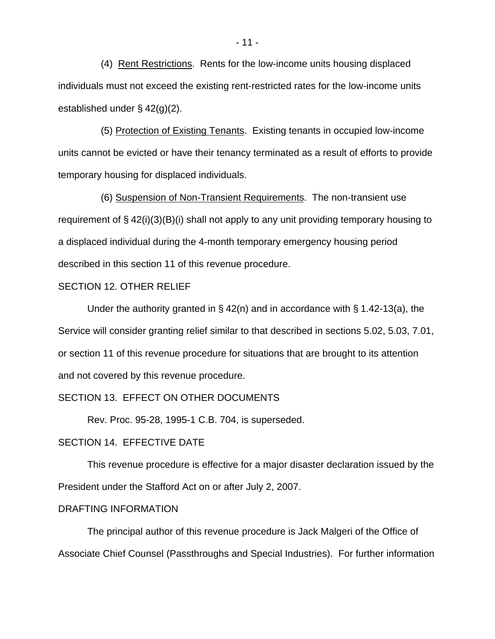(4) Rent Restrictions. Rents for the low-income units housing displaced individuals must not exceed the existing rent-restricted rates for the low-income units established under § 42(g)(2).

 (5) Protection of Existing Tenants. Existing tenants in occupied low-income units cannot be evicted or have their tenancy terminated as a result of efforts to provide temporary housing for displaced individuals.

 (6) Suspension of Non-Transient Requirements. The non-transient use requirement of  $\S$  42(i)(3)(B)(i) shall not apply to any unit providing temporary housing to a displaced individual during the 4-month temporary emergency housing period described in this section 11 of this revenue procedure.

#### SECTION 12. OTHER RELIEF

Under the authority granted in § 42(n) and in accordance with § 1.42-13(a), the Service will consider granting relief similar to that described in sections 5.02, 5.03, 7.01, or section 11 of this revenue procedure for situations that are brought to its attention and not covered by this revenue procedure.

# SECTION 13. EFFECT ON OTHER DOCUMENTS

Rev. Proc. 95-28, 1995-1 C.B. 704, is superseded.

# SECTION 14. EFFECTIVE DATE

This revenue procedure is effective for a major disaster declaration issued by the President under the Stafford Act on or after July 2, 2007.

### DRAFTING INFORMATION

The principal author of this revenue procedure is Jack Malgeri of the Office of Associate Chief Counsel (Passthroughs and Special Industries). For further information